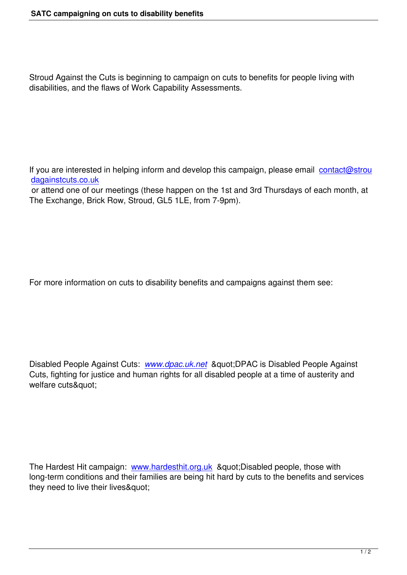Stroud Against the Cuts is beginning to campaign on cuts to benefits for people living with disabilities, and the flaws of Work Capability Assessments.

If you are interested in helping inform and develop this campaign, please email contact@strou dagainstcuts.co.uk or attend one of our meetings (these happen on the 1st and 3rd Thursdays of each month, at The Exchange, Brick Row, Stroud, GL5 1LE, from 7-9pm).

For more information on cuts to disability benefits and campaigns against them see:

Disabled People Against Cuts: *www.dpac.uk.net* & & aguot; DPAC is Disabled People Against Cuts, fighting for justice and human rights for all disabled people at a time of austerity and welfare cuts"

The Hardest Hit campaign: www.hardesthit.org.uk & quot; Disabled people, those with long-term conditions and their families are being hit hard by cuts to the benefits and services they need to live their lives"